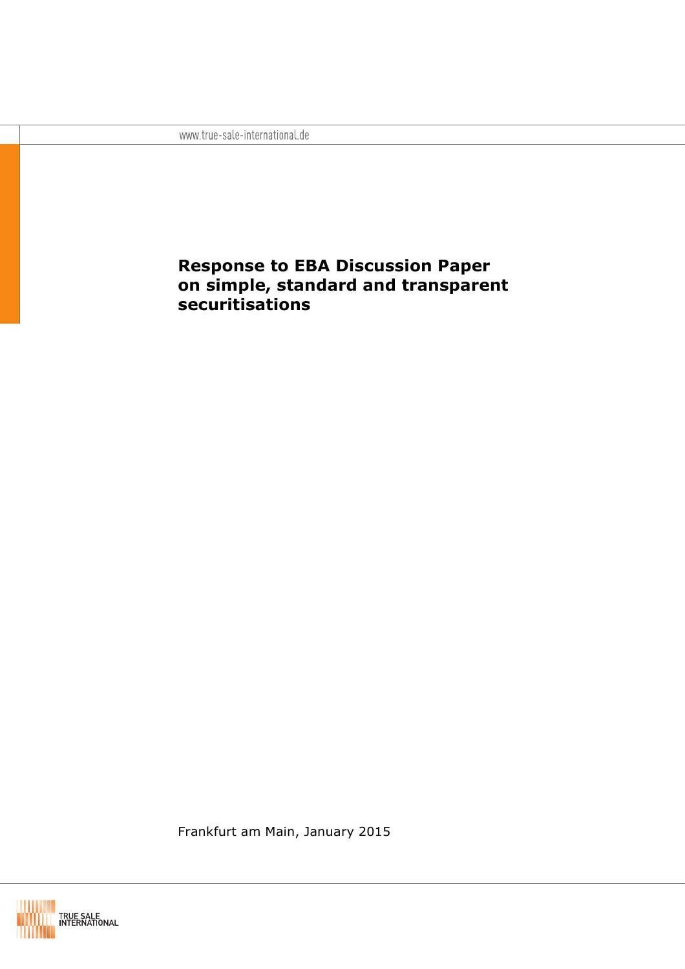www.true-sale-international.de

# **Response to EBA Discussion Paper on simple, standard and transparent securitisations**

Frankfurt am Main, January 2015

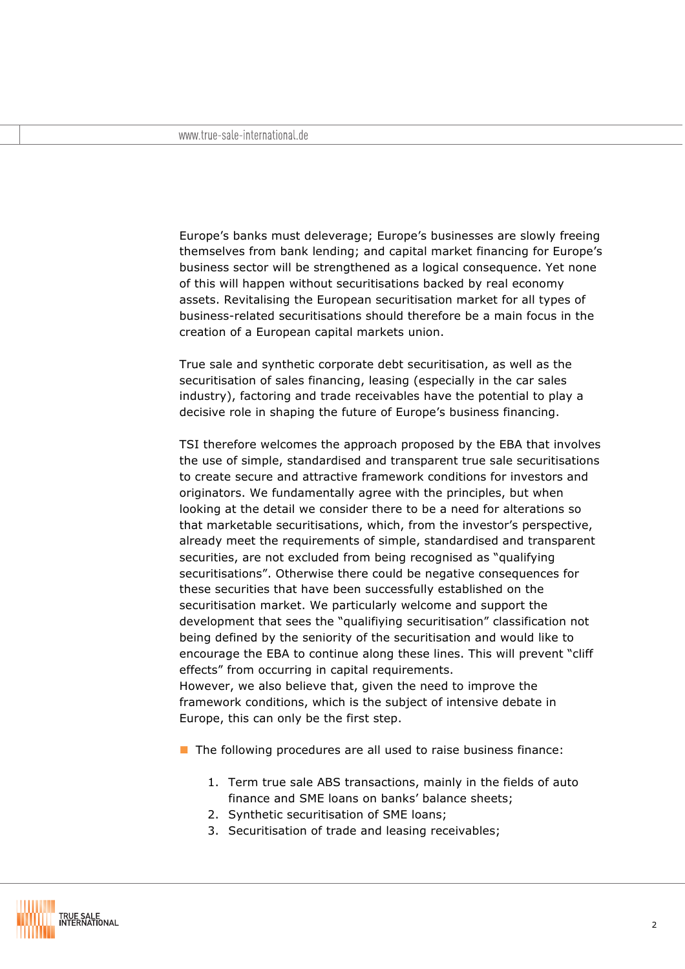Europe's banks must deleverage; Europe's businesses are slowly freeing themselves from bank lending; and capital market financing for Europe's business sector will be strengthened as a logical consequence. Yet none of this will happen without securitisations backed by real economy assets. Revitalising the European securitisation market for all types of business-related securitisations should therefore be a main focus in the creation of a European capital markets union.

True sale and synthetic corporate debt securitisation, as well as the securitisation of sales financing, leasing (especially in the car sales industry), factoring and trade receivables have the potential to play a decisive role in shaping the future of Europe's business financing.

TSI therefore welcomes the approach proposed by the EBA that involves the use of simple, standardised and transparent true sale securitisations to create secure and attractive framework conditions for investors and originators. We fundamentally agree with the principles, but when looking at the detail we consider there to be a need for alterations so that marketable securitisations, which, from the investor's perspective, already meet the requirements of simple, standardised and transparent securities, are not excluded from being recognised as "qualifying securitisations". Otherwise there could be negative consequences for these securities that have been successfully established on the securitisation market. We particularly welcome and support the development that sees the "qualifiying securitisation" classification not being defined by the seniority of the securitisation and would like to encourage the EBA to continue along these lines. This will prevent "cliff effects" from occurring in capital requirements. However, we also believe that, given the need to improve the

framework conditions, which is the subject of intensive debate in Europe, this can only be the first step.

 $\blacksquare$  The following procedures are all used to raise business finance:

- 1. Term true sale ABS transactions, mainly in the fields of auto finance and SME loans on banks' balance sheets;
- 2. Synthetic securitisation of SME loans;
- 3. Securitisation of trade and leasing receivables;

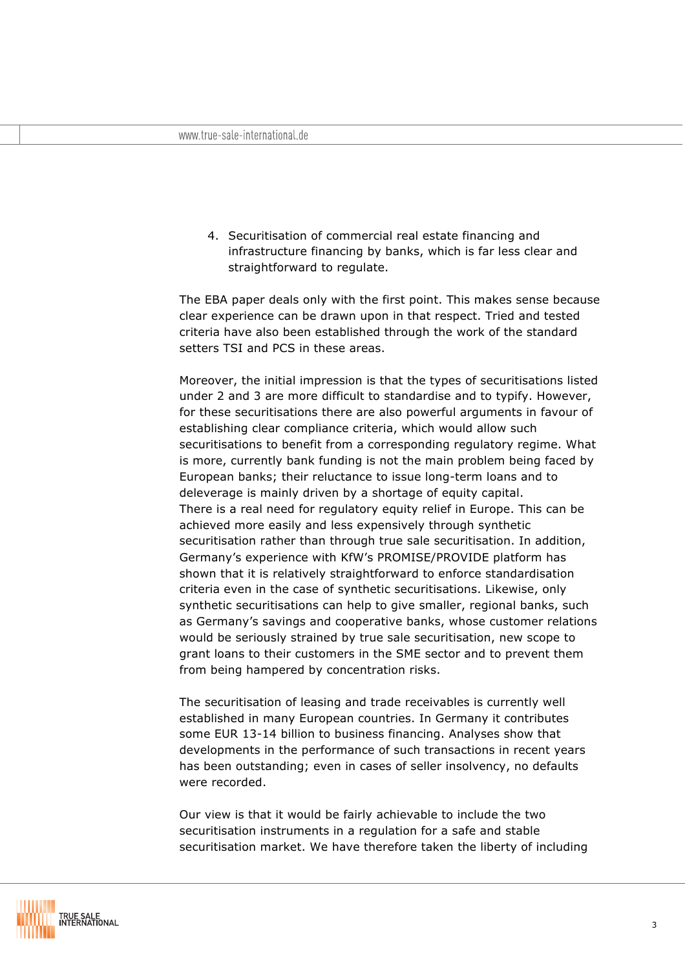4. Securitisation of commercial real estate financing and infrastructure financing by banks, which is far less clear and straightforward to regulate.

The EBA paper deals only with the first point. This makes sense because clear experience can be drawn upon in that respect. Tried and tested criteria have also been established through the work of the standard setters TSI and PCS in these areas.

Moreover, the initial impression is that the types of securitisations listed under 2 and 3 are more difficult to standardise and to typify. However, for these securitisations there are also powerful arguments in favour of establishing clear compliance criteria, which would allow such securitisations to benefit from a corresponding regulatory regime. What is more, currently bank funding is not the main problem being faced by European banks; their reluctance to issue long-term loans and to deleverage is mainly driven by a shortage of equity capital. There is a real need for regulatory equity relief in Europe. This can be achieved more easily and less expensively through synthetic securitisation rather than through true sale securitisation. In addition, Germany's experience with KfW's PROMISE/PROVIDE platform has shown that it is relatively straightforward to enforce standardisation criteria even in the case of synthetic securitisations. Likewise, only synthetic securitisations can help to give smaller, regional banks, such as Germany's savings and cooperative banks, whose customer relations would be seriously strained by true sale securitisation, new scope to grant loans to their customers in the SME sector and to prevent them from being hampered by concentration risks.

The securitisation of leasing and trade receivables is currently well established in many European countries. In Germany it contributes some EUR 13-14 billion to business financing. Analyses show that developments in the performance of such transactions in recent years has been outstanding; even in cases of seller insolvency, no defaults were recorded.

Our view is that it would be fairly achievable to include the two securitisation instruments in a regulation for a safe and stable securitisation market. We have therefore taken the liberty of including

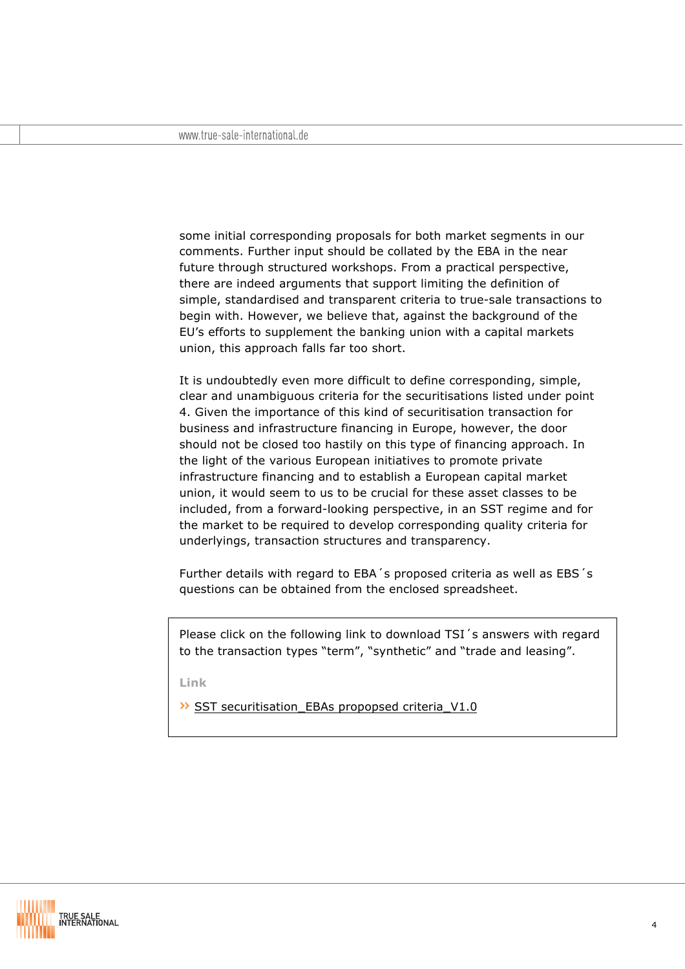some initial corresponding proposals for both market segments in our comments. Further input should be collated by the EBA in the near future through structured workshops. From a practical perspective, there are indeed arguments that support limiting the definition of simple, standardised and transparent criteria to true-sale transactions to begin with. However, we believe that, against the background of the EU's efforts to supplement the banking union with a capital markets union, this approach falls far too short.

It is undoubtedly even more difficult to define corresponding, simple, clear and unambiguous criteria for the securitisations listed under point 4. Given the importance of this kind of securitisation transaction for business and infrastructure financing in Europe, however, the door should not be closed too hastily on this type of financing approach. In the light of the various European initiatives to promote private infrastructure financing and to establish a European capital market union, it would seem to us to be crucial for these asset classes to be included, from a forward-looking perspective, in an SST regime and for the market to be required to develop corresponding quality criteria for underlyings, transaction structures and transparency.

Further details with regard to EBA´s proposed criteria as well as EBS´s questions can be obtained from the enclosed spreadsheet.

Please click on the following link to download TSI's answers with regard to the transaction types "term", "synthetic" and "trade and leasing".

**Link**

» SST securitisation\_EBAs propopsed criteria\_V1.0

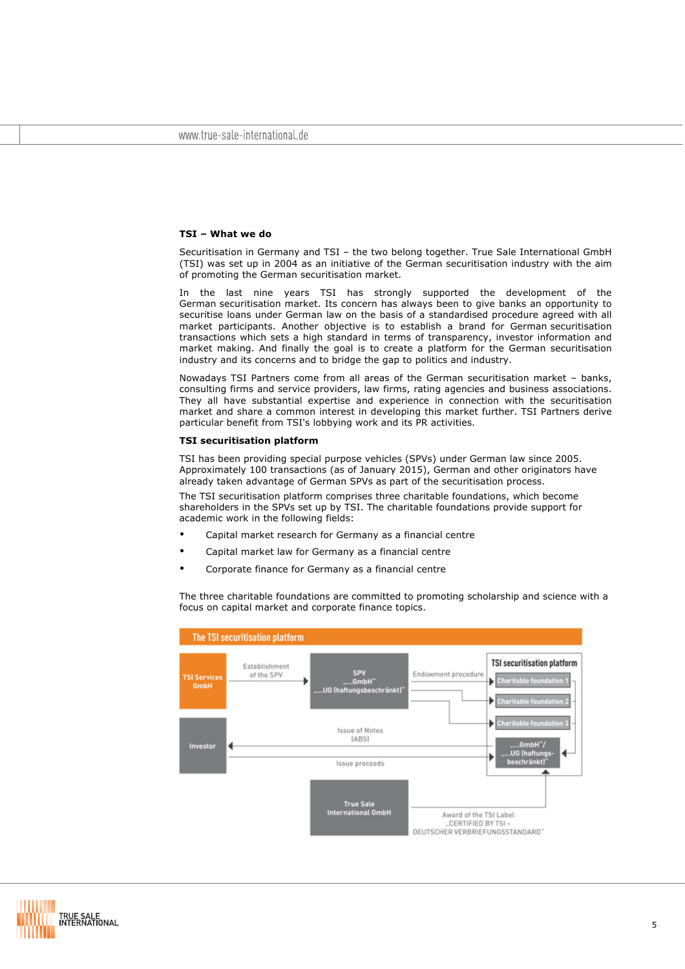## **TSI – What we do**

Securitisation in Germany and TSI – the two belong together. True Sale International GmbH (TSI) was set up in 2004 as an initiative of the German securitisation industry with the aim of promoting the German securitisation market.

In the last nine years TSI has strongly supported the development of the German securitisation market. Its concern has always been to give banks an opportunity to securitise loans under German law on the basis of a standardised procedure agreed with all market participants. Another objective is to establish a brand for German securitisation transactions which sets a high standard in terms of transparency, investor information and market making. And finally the goal is to create a platform for the German securitisation industry and its concerns and to bridge the gap to politics and industry.

Nowadays TSI Partners come from all areas of the German securitisation market – banks, consulting firms and service providers, law firms, rating agencies and business associations. They all have substantial expertise and experience in connection with the securitisation market and share a common interest in developing this market further. TSI Partners derive particular benefit from TSI's lobbying work and its PR activities.

#### **TSI securitisation platform**

TSI has been providing special purpose vehicles (SPVs) under German law since 2005. Approximately 100 transactions (as of January 2015), German and other originators have already taken advantage of German SPVs as part of the securitisation process.

The TSI securitisation platform comprises three charitable foundations, which become shareholders in the SPVs set up by TSI. The charitable foundations provide support for academic work in the following fields:

- Capital market research for Germany as a financial centre
- Capital market law for Germany as a financial centre
- Corporate finance for Germany as a financial centre

The three charitable foundations are committed to promoting scholarship and science with a focus on capital market and corporate finance topics.